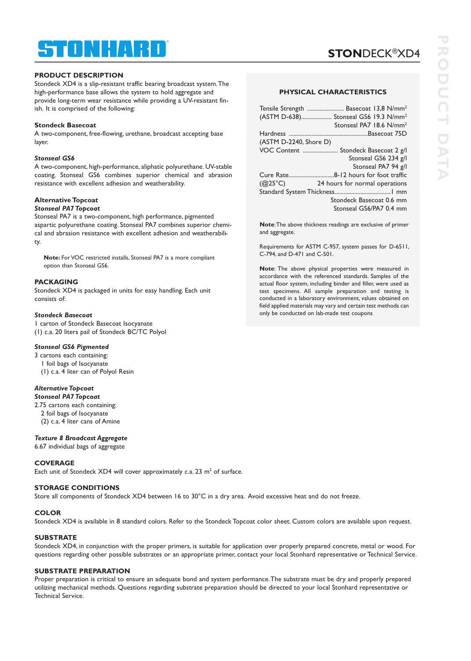# ® STONHAR

### **PRODUCT DESCRIPTION**

Stondeck XD4 is a slip-resistant traffic bearing broadcast system.The high-performance base allows the system to hold aggregate and provide long-term wear resistance while providing a UV-resistant finish. It is comprised of the following:

### **Stondeck Basecoat**

A two-component, free-flowing, urethane, broadcast accepting base layer.

### *Stonseal GS6*

A two-component, high-performance, aliphatic polyurethane. UV-stable coating. Stonseal GS6 combines superior chemical and abrasion resistance with excellent adhesion and weatherability.

### **Alternative Topcoat**

### *Stonseal PA7 Topcoat*

Stonseal PA7 is a two-component, high performance, pigmented aspartic polyurethane coating. Stonseal PA7 combines superior chemical and abrasion resistance with excellent adhesion and weatherability.

**Note:** For VOC restricted installs, Stonseal PA7 is a more compliant option than Stonseal GS6.

### **PACKAGING**

Stondeck XD4 is packaged in units for easy handling. Each unit consists of:

### *Stondeck Basecoat*

1 carton of Stondeck Basecoat Isocyanate (1) c.a. 20 liters pail of Stondeck BC/TC Polyol

### *Stonseal GS6 Pigmented*

3 cartons each containing: 1 foil bags of Isocyanate (1) c.a. 4 liter can of Polyol Resin

# *Alternative Topcoat*

*Stonseal PA7 Topcoat* 2.75 cartons each containing:

2 foil bags of Isocyanate

(2) c.a. 4 liter cans of Amine

### *Texture 8 Broadcast Aggregate*

6.67 individual bags of aggregate

### **COVERAGE**

Each unit of Stondeck  $XD4$  will cover approximately c.a. 23 m<sup>2</sup> of surface.

### **STORAGE CONDITIONS**

Store all components of Stondeck XD4 between 16 to 30°C in a dry area. Avoid excessive heat and do not freeze.

### **COLOR**

Stondeck XD4 is available in 8 standard colors. Refer to the Stondeck Topcoat color sheet. Custom colors are available upon request.

### **SUBSTRATE**

Stondeck XD4, in conjunction with the proper primers, is suitable for application over properly prepared concrete, metal or wood. For questions regarding other possible substrates or an appropriate primer, contact your local Stonhard representative or Technical Service.

### **SUBSTRATE PREPARATION**

Proper preparation is critical to ensure an adequate bond and system performance.The substrate must be dry and properly prepared utilizing mechanical methods. Questions regarding substrate preparation should be directed to your local Stonhard representative or Technical Service.

**STON**DECK®XD4

| Tensile Strength  Basecoat 13,8 N/mm <sup>2</sup>  |
|----------------------------------------------------|
| (ASTM D-638) Stonseal GS6 19.3 N/mm <sup>2</sup>   |
| Stonseal PA7 18.6 N/mm <sup>2</sup>                |
|                                                    |
| (ASTM D-2240, Shore D)                             |
| VOC Content<br>Stondeck Basecoat 2 g/l             |
| Stonseal GS6 234 g/l                               |
| Stonseal PA7 94 g/l                                |
|                                                    |
| $(Q25^{\circ}C)$<br>24 hours for normal operations |
|                                                    |
| Stondeck Basecoat 0.6 mm                           |
| Stonseal GS6/PA7 0.4 mm                            |

**Note**:The above thickness readings are exclusive of primer and aggregate.

Requirements for ASTM C-957, system passes for D-6511, C-794, and D-471 and C-501.

**Note**: The above physical properties were measured in accordance with the referenced standards. Samples of the actual floor system, including binder and filler, were used as test specimens. All sample preparation and testing is conducted in a laboratory environment, values obtained on field applied materials may vary and certain test methods can only be conducted on lab-made test coupons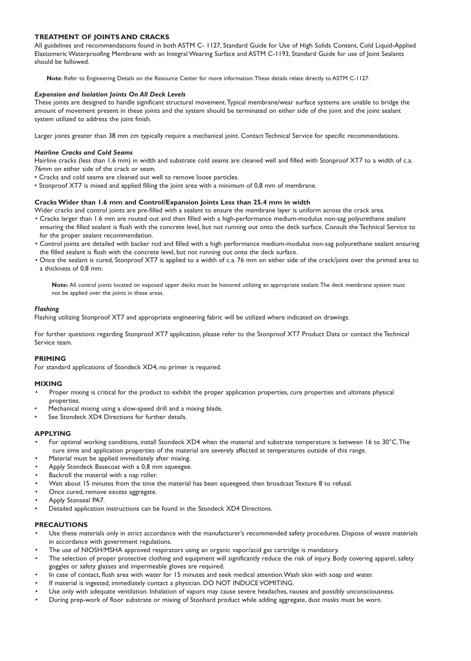### **TREATMENT OF JOINTS AND CRACKS**

All guidelines and recommendations found in both ASTM C- 1127, Standard Guide for Use of High Solids Content, Cold Liquid-Applied Elastomeric Waterproofing Membrane with an Integral Wearing Surface and ASTM C-1193, Standard Guide for use of Joint Sealants should be followed.

**Note**: Refer to Engineering Details on the Resource Center for more information.These details relate directly to ASTM C-1127.

#### *Expansion and Isolation Joints On All Deck Levels*

These joints are designed to handle significant structural movement.Typical membrane/wear surface systems are unable to bridge the amount of movement present in these joints and the system should be terminated on either side of the joint and the joint sealant system utilized to address the joint finish.

Larger joints greater than 38 mm cm typically require a mechanical joint. Contact Technical Service for specific recommendations.

#### *Hairline Cracks and Cold Seams*

Hairline cracks (less than 1.6 mm) in width and substrate cold seams are cleaned well and filled with Stonproof XT7 to a width of c.a. 76mm on either side of the crack or seam.

- Cracks and cold seams are cleaned out well to remove loose particles.
- Stonproof XT7 is mixed and applied filling the joint area with a minimum of 0,8 mm of membrane.

### **CracksWider than 1.6 mm and Control/Expansion Joints Less than 25.4 mm in width**

Wider cracks and control joints are pre-filled with a sealant to ensure the membrane layer is uniform across the crack area.

- Cracks larger than 1.6 mm are routed out and then filled with a high-performance medium-modulus non-sag polyurethane sealant ensuring the filled sealant is flush with the concrete level, but not running out onto the deck surface. Consult the Technical Service to for the proper sealant recommendation.
- Control joints are detailed with backer rod and filled with a high performance medium-modulus non-sag polyurethane sealant ensuring the filled sealant is flush with the concrete level, but not running out onto the deck surface.
- Once the sealant is cured, Stonproof XT7 is applied to a width of c.a. 76 mm on either side of the crack/joint over the primed area to a thickness of 0,8 mm.

**Note:** All control joints located on exposed upper decks must be honored utilizing an appropriate sealant.The deck membrane system must not be applied over the joints in these areas.

#### *Flashing*

Flashing utilizing Stonproof XT7 and appropriate engineering fabric will be utilized where indicated on drawings.

For further questions regarding Stonproof XT7 application, please refer to the Stonproof XT7 Product Data or contact the Technical Service team.

### **PRIMING**

For standard applications of Stondeck XD4, no primer is required.

### **MIXING**

- Proper mixing is critical for the product to exhibit the proper application properties, cure properties and ultimate physical properties.
- Mechanical mixing using a slow-speed drill and a mixing blade.
- See Stondeck XD4 Directions for further details.

### **APPLYING**

- For optimal working conditions, install Stondeck XD4 when the material and substrate temperature is between 16 to 30°C.The cure time and application properties of the material are severely affected at temperatures outside of this range.
- Material must be applied immediately after mixing.
- Apply Stondeck Basecoat with a 0,8 mm squeegee.
- Backroll the material with a nap roller.
- Wait about 15 minutes from the time the material has been squeegeed, then broadcast Texture 8 to refusal.
- Once cured, remove excess aggregate.
- Apply Stonseal PA7.
- Detailed application instructions can be found in the Stondeck XD4 Directions.

# **PRECAUTIONS**

- Use these materials only in strict accordance with the manufacturer's recommended safety procedures. Dispose of waste materials in accordance with government regulations.
- The use of NIOSH/MSHA approved respirators using an organic vapor/acid gas cartridge is mandatory.
- The selection of proper protective clothing and equipment will significantly reduce the risk of injury. Body covering apparel, safety goggles or safety glasses and impermeable gloves are required.
- In case of contact, flush area with water for 15 minutes and seek medical attention.Wash skin with soap and water.
- If material is ingested, immediately contact a physician. DO NOT INDUCE VOMITING.
- Use only with adequate ventilation. Inhalation of vapors may cause severe headaches, nausea and possibly unconsciousness.
- During prep-work of floor substrate or mixing of Stonhard product while adding aggregate, dust masks must be worn.